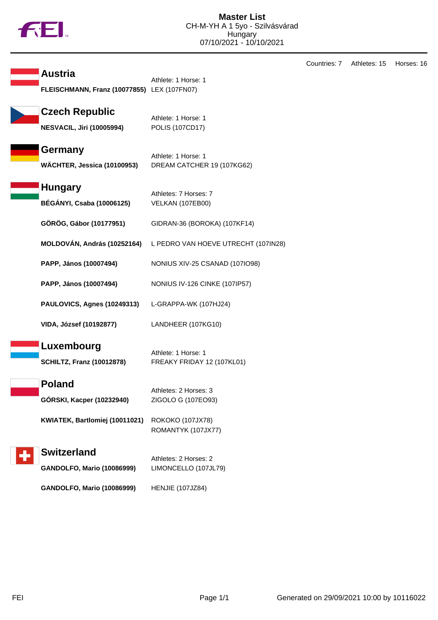

**Austria** Athlete: 1 Horse: 1 **FLEISCHMANN, Franz (10077855)** LEX (107FN07) **Czech Republic** Athlete: 1 Horse: 1 **NESVACIL, Jiri (10005994)** POLIS (107CD17) **Germany** Athlete: 1 Horse: 1 **WÄCHTER, Jessica (10100953)** DREAM CATCHER 19 (107KG62) **Hungary** Athletes: 7 Horses: 7 **BÉGÁNYI, Csaba (10006125)** VELKAN (107EB00) **GÖRÖG, Gábor (10177951)** GIDRAN-36 (BOROKA) (107KF14) **MOLDOVÁN, András (10252164)** L PEDRO VAN HOEVE UTRECHT (107IN28) **PAPP, János (10007494)** NONIUS XIV-25 CSANAD (107IO98) **PAPP, János (10007494)** NONIUS IV-126 CINKE (107IP57) **PAULOVICS, Agnes (10249313)** L-GRAPPA-WK (107HJ24) **VIDA, József (10192877)** LANDHEER (107KG10) **Luxembourg** Athlete: 1 Horse: 1 **SCHILTZ, Franz (10012878)** FREAKY FRIDAY 12 (107KL01) **Poland** Athletes: 2 Horses: 3 **GÓRSKI, Kacper (10232940)** ZIGOLO G (107EO93) **KWIATEK, Bartlomiej (10011021)** ROKOKO (107JX78) ROMANTYK (107JX77) **Switzerland** Athletes: 2 Horses: 2 **GANDOLFO, Mario (10086999)** LIMONCELLO (107JL79)

**GANDOLFO, Mario (10086999)** HENJIE (107JZ84)

Countries: 7 Athletes: 15 Horses: 16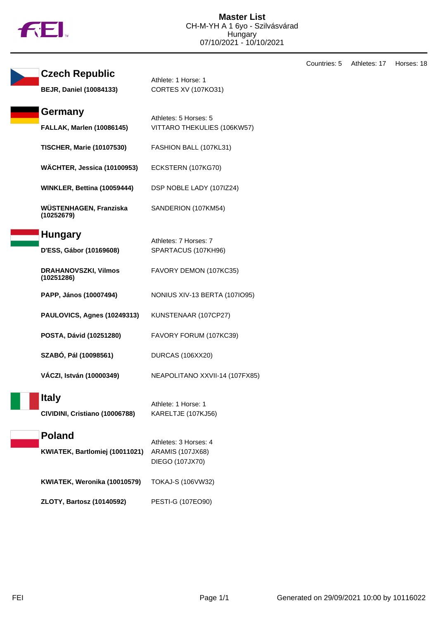

|                        |                                                         |                                                                     | Countries: 5 | Athletes: 17 | Horses: 18 |
|------------------------|---------------------------------------------------------|---------------------------------------------------------------------|--------------|--------------|------------|
|                        | <b>Czech Republic</b><br><b>BEJR, Daniel (10084133)</b> | Athlete: 1 Horse: 1<br><b>CORTES XV (107KO31)</b>                   |              |              |            |
|                        | Germany<br><b>FALLAK, Marlen (10086145)</b>             | Athletes: 5 Horses: 5<br>VITTARO THEKULIES (106KW57)                |              |              |            |
|                        | <b>TISCHER, Marie (10107530)</b>                        | FASHION BALL (107KL31)                                              |              |              |            |
|                        | WÄCHTER, Jessica (10100953)                             | ECKSTERN (107KG70)                                                  |              |              |            |
|                        | WINKLER, Bettina (10059444)                             | DSP NOBLE LADY (107IZ24)                                            |              |              |            |
|                        | WÜSTENHAGEN, Franziska<br>(10252679)                    | SANDERION (107KM54)                                                 |              |              |            |
|                        | <b>Hungary</b><br>D'ESS, Gábor (10169608)               | Athletes: 7 Horses: 7<br>SPARTACUS (107KH96)                        |              |              |            |
|                        | <b>DRAHANOVSZKI, Vilmos</b><br>(10251286)               | FAVORY DEMON (107KC35)                                              |              |              |            |
| PAPP, János (10007494) |                                                         | NONIUS XIV-13 BERTA (107IO95)                                       |              |              |            |
|                        | PAULOVICS, Agnes (10249313)                             | KUNSTENAAR (107CP27)                                                |              |              |            |
|                        | POSTA, Dávid (10251280)                                 | FAVORY FORUM (107KC39)                                              |              |              |            |
|                        | SZABÓ, Pál (10098561)                                   | DURCAS (106XX20)                                                    |              |              |            |
|                        | VÁCZI, István (10000349)                                | NEAPOLITANO XXVII-14 (107FX85)                                      |              |              |            |
|                        | <b>Italy</b><br>CIVIDINI, Cristiano (10006788)          | Athlete: 1 Horse: 1<br>KARELTJE (107KJ56)                           |              |              |            |
|                        | <b>Poland</b><br>KWIATEK, Bartlomiej (10011021)         | Athletes: 3 Horses: 4<br><b>ARAMIS (107JX68)</b><br>DIEGO (107JX70) |              |              |            |
|                        | KWIATEK, Weronika (10010579)                            | TOKAJ-S (106VW32)                                                   |              |              |            |
|                        | <b>ZLOTY, Bartosz (10140592)</b>                        | PESTI-G (107EO90)                                                   |              |              |            |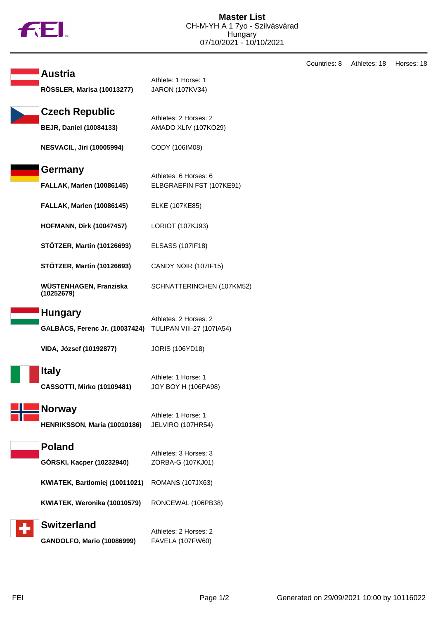

|                                                         |                                                   | Coun |
|---------------------------------------------------------|---------------------------------------------------|------|
| <b>Austria</b><br><b>RÖSSLER, Marisa (10013277)</b>     | Athlete: 1 Horse: 1<br>JARON (107KV34)            |      |
| <b>Czech Republic</b><br><b>BEJR, Daniel (10084133)</b> | Athletes: 2 Horses: 2<br>AMADO XLIV (107KO29)     |      |
| <b>NESVACIL, Jiri (10005994)</b>                        | CODY (106IM08)                                    |      |
| Germany<br><b>FALLAK, Marlen (10086145)</b>             | Athletes: 6 Horses: 6<br>ELBGRAEFIN FST (107KE91) |      |
| <b>FALLAK, Marlen (10086145)</b>                        | ELKE (107KE85)                                    |      |
| <b>HOFMANN, Dirk (10047457)</b>                         | LORIOT (107KJ93)                                  |      |
| <b>STÖTZER, Martin (10126693)</b>                       | <b>ELSASS (107IF18)</b>                           |      |
| <b>STÖTZER, Martin (10126693)</b>                       | CANDY NOIR (107IF15)                              |      |
| WÜSTENHAGEN, Franziska<br>(10252679)                    | SCHNATTERINCHEN (107KM52)                         |      |
| <b>Hungary</b>                                          | Athletes: 2 Horses: 2                             |      |
| <b>GALBÁCS, Ferenc Jr. (10037424)</b>                   | <b>TULIPAN VIII-27 (107IA54)</b>                  |      |
| VIDA, József (10192877)                                 | <b>JORIS (106YD18)</b>                            |      |
| <b>Italy</b><br><b>CASSOTTI, Mirko (10109481)</b>       | Athlete: 1 Horse: 1<br>JOY BOY H (106PA98)        |      |
| Norway<br>HENRIKSSON, Maria (10010186)                  | Athlete: 1 Horse: 1<br>JELVIRO (107HR54)          |      |
| <b>Poland</b>                                           | Athletes: 3 Horses: 3                             |      |
| GÓRSKI, Kacper (10232940)                               | ZORBA-G (107KJ01)                                 |      |
| KWIATEK, Bartlomiej (10011021)                          | <b>ROMANS (107JX63)</b>                           |      |
| KWIATEK, Weronika (10010579)                            | RONCEWAL (106PB38)                                |      |
| <b>Switzerland</b>                                      | Athletes: 2 Horses: 2                             |      |
| <b>GANDOLFO, Mario (10086999)</b>                       | <b>FAVELA (107FW60)</b>                           |      |